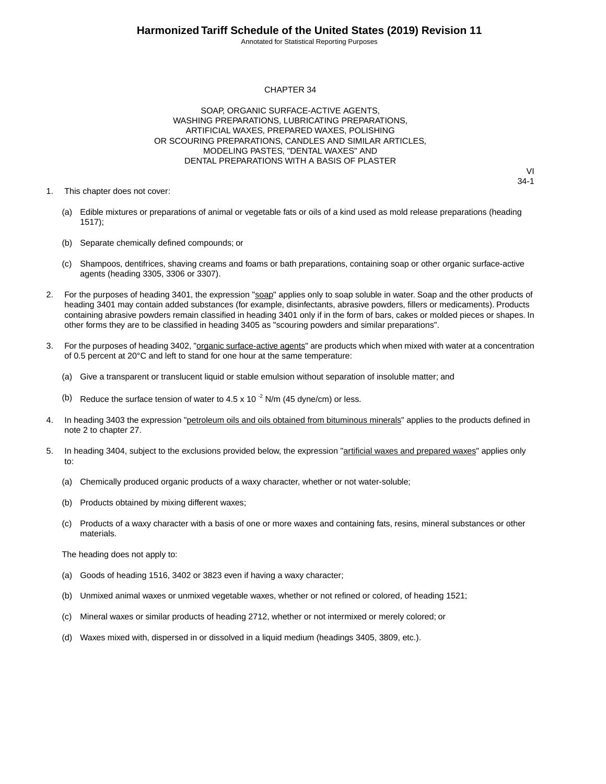Annotated for Statistical Reporting Purposes

VI 34-1

#### CHAPTER 34

SOAP, ORGANIC SURFACE-ACTIVE AGENTS, WASHING PREPARATIONS, LUBRICATING PREPARATIONS, ARTIFICIAL WAXES, PREPARED WAXES, POLISHING OR SCOURING PREPARATIONS, CANDLES AND SIMILAR ARTICLES, MODELING PASTES, "DENTAL WAXES" AND DENTAL PREPARATIONS WITH A BASIS OF PLASTER

1. This chapter does not cover:

- (a) Edible mixtures or preparations of animal or vegetable fats or oils of a kind used as mold release preparations (heading 1517);
- (b) Separate chemically defined compounds; or
- (c) Shampoos, dentifrices, shaving creams and foams or bath preparations, containing soap or other organic surface-active agents (heading 3305, 3306 or 3307).
- 2. For the purposes of heading 3401, the expression "soap" applies only to soap soluble in water. Soap and the other products of heading 3401 may contain added substances (for example, disinfectants, abrasive powders, fillers or medicaments). Products containing abrasive powders remain classified in heading 3401 only if in the form of bars, cakes or molded pieces or shapes. In other forms they are to be classified in heading 3405 as "scouring powders and similar preparations".
- 3. For the purposes of heading 3402, "organic surface-active agents" are products which when mixed with water at a concentration of 0.5 percent at 20°C and left to stand for one hour at the same temperature:
	- (a) Give a transparent or translucent liquid or stable emulsion without separation of insoluble matter; and
	- (b) Reduce the surface tension of water to 4.5 x 10 $^{-2}$  N/m (45 dyne/cm) or less.
- 4. In heading 3403 the expression "petroleum oils and oils obtained from bituminous minerals" applies to the products defined in note 2 to chapter 27.
- 5. In heading 3404, subject to the exclusions provided below, the expression "artificial waxes and prepared waxes" applies only to:
	- (a) Chemically produced organic products of a waxy character, whether or not water-soluble;
	- (b) Products obtained by mixing different waxes;
	- (c) Products of a waxy character with a basis of one or more waxes and containing fats, resins, mineral substances or other materials.
	- The heading does not apply to:
	- (a) Goods of heading 1516, 3402 or 3823 even if having a waxy character;
	- (b) Unmixed animal waxes or unmixed vegetable waxes, whether or not refined or colored, of heading 1521;
	- (c) Mineral waxes or similar products of heading 2712, whether or not intermixed or merely colored; or
	- (d) Waxes mixed with, dispersed in or dissolved in a liquid medium (headings 3405, 3809, etc.).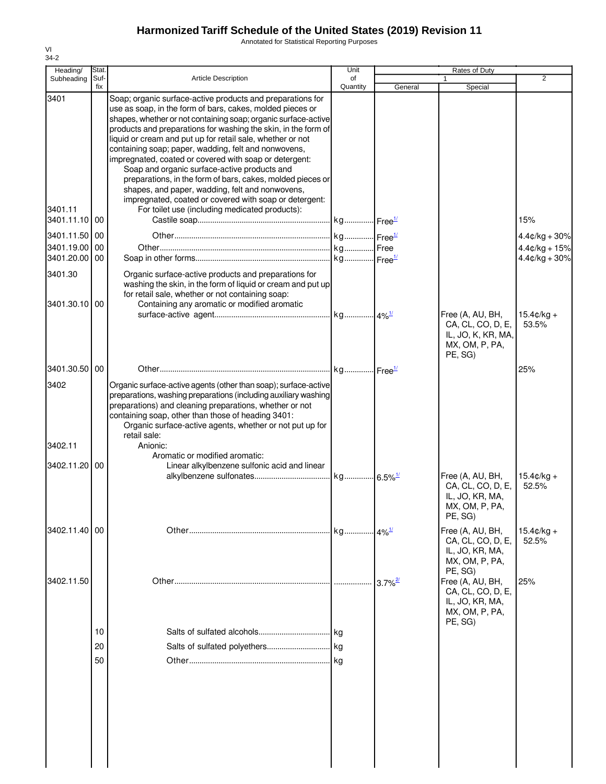Annotated for Statistical Reporting Purposes

| Heading/                                                                           | Stat.                |                                                                                                                                                                                                                                                                                                                                                                                                                                                                                                                                                                                                                                                                                                                                                                                  | Unit                  |                       | <b>Rates of Duty</b>                                                                     |                                                              |
|------------------------------------------------------------------------------------|----------------------|----------------------------------------------------------------------------------------------------------------------------------------------------------------------------------------------------------------------------------------------------------------------------------------------------------------------------------------------------------------------------------------------------------------------------------------------------------------------------------------------------------------------------------------------------------------------------------------------------------------------------------------------------------------------------------------------------------------------------------------------------------------------------------|-----------------------|-----------------------|------------------------------------------------------------------------------------------|--------------------------------------------------------------|
| Subheading                                                                         | Suf-<br>fix          | <b>Article Description</b>                                                                                                                                                                                                                                                                                                                                                                                                                                                                                                                                                                                                                                                                                                                                                       | of<br>Quantity        |                       |                                                                                          | 2                                                            |
| 3401<br>3401.11<br>3401.11.10<br>3401.11.50<br>3401.19.00<br>3401.20.00<br>3401.30 | 00<br>00<br>00<br>00 | Soap; organic surface-active products and preparations for<br>use as soap, in the form of bars, cakes, molded pieces or<br>shapes, whether or not containing soap; organic surface-active<br>products and preparations for washing the skin, in the form of<br>liquid or cream and put up for retail sale, whether or not<br>containing soap; paper, wadding, felt and nonwovens,<br>impregnated, coated or covered with soap or detergent:<br>Soap and organic surface-active products and<br>preparations, in the form of bars, cakes, molded pieces or<br>shapes, and paper, wadding, felt and nonwovens,<br>impregnated, coated or covered with soap or detergent:<br>For toilet use (including medicated products):<br>Organic surface-active products and preparations for | kg Free <sup>1/</sup> | General               | Special                                                                                  | 15%<br>$4.4¢/kg + 30%$<br>$4.4¢/kg + 15%$<br>$4.4¢/kg + 30%$ |
|                                                                                    |                      | washing the skin, in the form of liquid or cream and put up<br>for retail sale, whether or not containing soap:                                                                                                                                                                                                                                                                                                                                                                                                                                                                                                                                                                                                                                                                  |                       |                       |                                                                                          |                                                              |
| 3401.30.10 00                                                                      |                      | Containing any aromatic or modified aromatic                                                                                                                                                                                                                                                                                                                                                                                                                                                                                                                                                                                                                                                                                                                                     |                       |                       |                                                                                          |                                                              |
|                                                                                    |                      |                                                                                                                                                                                                                                                                                                                                                                                                                                                                                                                                                                                                                                                                                                                                                                                  |                       |                       | Free (A, AU, BH,<br>CA, CL, CO, D, E,<br>IL, JO, K, KR, MA,<br>MX, OM, P, PA,<br>PE, SG) | $15.4 \text{c/kg} +$<br>53.5%                                |
| 3401.30.50 00                                                                      |                      |                                                                                                                                                                                                                                                                                                                                                                                                                                                                                                                                                                                                                                                                                                                                                                                  |                       |                       |                                                                                          | 25%                                                          |
| 3402<br>3402.11                                                                    |                      | Organic surface-active agents (other than soap); surface-active<br>preparations, washing preparations (including auxiliary washing<br>preparations) and cleaning preparations, whether or not<br>containing soap, other than those of heading 3401:<br>Organic surface-active agents, whether or not put up for<br>retail sale:<br>Anionic:                                                                                                                                                                                                                                                                                                                                                                                                                                      |                       |                       |                                                                                          |                                                              |
| 3402.11.20                                                                         | 00                   | Aromatic or modified aromatic:<br>Linear alkylbenzene sulfonic acid and linear                                                                                                                                                                                                                                                                                                                                                                                                                                                                                                                                                                                                                                                                                                   |                       |                       |                                                                                          |                                                              |
|                                                                                    |                      |                                                                                                                                                                                                                                                                                                                                                                                                                                                                                                                                                                                                                                                                                                                                                                                  |                       |                       | Free (A, AU, BH,<br>CA, CL, CO, D, E,<br>IL, JO, KR, MA,<br>MX, OM, P, PA,<br>PE, SG)    | $15.4 \text{c/kg} +$<br>52.5%                                |
| 3402.11.40 00                                                                      |                      |                                                                                                                                                                                                                                                                                                                                                                                                                                                                                                                                                                                                                                                                                                                                                                                  |                       |                       | Free (A, AU, BH,<br>CA, CL, CO, D, E,<br>IL, JO, KR, MA,<br>MX, OM, P, PA,<br>PE, SG)    | $15.4¢/kg +$<br>52.5%                                        |
| 3402.11.50                                                                         |                      |                                                                                                                                                                                                                                                                                                                                                                                                                                                                                                                                                                                                                                                                                                                                                                                  |                       | $3.7\%$ <sup>2/</sup> | Free (A, AU, BH,<br>CA, CL, CO, D, E,<br>IL, JO, KR, MA,<br>MX, OM, P, PA,<br>PE, SG)    | 25%                                                          |
|                                                                                    | 10                   |                                                                                                                                                                                                                                                                                                                                                                                                                                                                                                                                                                                                                                                                                                                                                                                  |                       |                       |                                                                                          |                                                              |
|                                                                                    | 20                   |                                                                                                                                                                                                                                                                                                                                                                                                                                                                                                                                                                                                                                                                                                                                                                                  | kg                    |                       |                                                                                          |                                                              |
|                                                                                    | 50                   |                                                                                                                                                                                                                                                                                                                                                                                                                                                                                                                                                                                                                                                                                                                                                                                  |                       |                       |                                                                                          |                                                              |
|                                                                                    |                      |                                                                                                                                                                                                                                                                                                                                                                                                                                                                                                                                                                                                                                                                                                                                                                                  |                       |                       |                                                                                          |                                                              |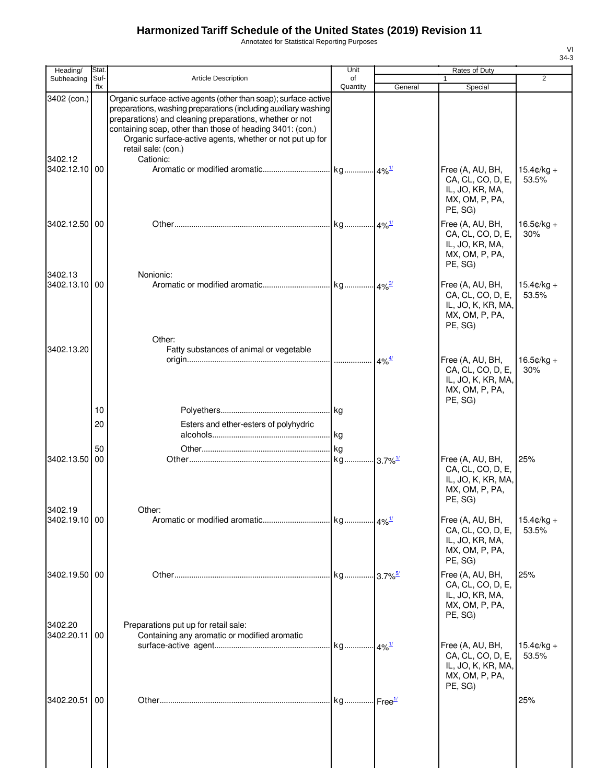Annotated for Statistical Reporting Purposes

| Heading/                 | <b>Stat</b> |                                                                                                                                                                                                                                                                                                                                                            | Unit           |                                           |                                                                                          |                               |
|--------------------------|-------------|------------------------------------------------------------------------------------------------------------------------------------------------------------------------------------------------------------------------------------------------------------------------------------------------------------------------------------------------------------|----------------|-------------------------------------------|------------------------------------------------------------------------------------------|-------------------------------|
| Subheading               | Suf-<br>fix | <b>Article Description</b>                                                                                                                                                                                                                                                                                                                                 | of<br>Quantity | General                                   | 1<br>Special                                                                             | $\overline{2}$                |
| 3402 (con.)<br>3402.12   |             | Organic surface-active agents (other than soap); surface-active<br>preparations, washing preparations (including auxiliary washing<br>preparations) and cleaning preparations, whether or not<br>containing soap, other than those of heading 3401: (con.)<br>Organic surface-active agents, whether or not put up for<br>retail sale: (con.)<br>Cationic: |                |                                           |                                                                                          |                               |
| 3402.12.10 00            |             |                                                                                                                                                                                                                                                                                                                                                            |                |                                           | Free (A, AU, BH,<br>CA, CL, CO, D, E,<br>IL, JO, KR, MA,<br>MX, OM, P, PA,<br>PE, SG)    | $15.4 \text{C/kg} +$<br>53.5% |
| 3402.12.50 00            |             |                                                                                                                                                                                                                                                                                                                                                            |                |                                           | Free (A, AU, BH,<br>CA, CL, CO, D, E,<br>IL, JO, KR, MA,<br>MX, OM, P, PA,<br>PE, SG)    | $16.5¢/kg +$<br>30%           |
| 3402.13<br>3402.13.10    | 00          | Nonionic:                                                                                                                                                                                                                                                                                                                                                  |                |                                           | Free (A, AU, BH,<br>CA, CL, CO, D, E,<br>IL, JO, K, KR, MA,<br>MX, OM, P, PA,<br>PE, SG) | $15.4 \text{c/kg} +$<br>53.5% |
| 3402.13.20               |             | Other:<br>Fatty substances of animal or vegetable                                                                                                                                                                                                                                                                                                          |                | $4\%$ <sup><math>\frac{4}{3}</math></sup> | Free (A, AU, BH,<br>CA, CL, CO, D, E,<br>IL, JO, K, KR, MA,<br>MX, OM, P, PA,            | $16.5¢/kg +$<br>30%           |
|                          | 10          |                                                                                                                                                                                                                                                                                                                                                            |                |                                           | PE, SG)                                                                                  |                               |
|                          | 20          | Esters and ether-esters of polyhydric                                                                                                                                                                                                                                                                                                                      |                |                                           |                                                                                          |                               |
|                          |             |                                                                                                                                                                                                                                                                                                                                                            |                |                                           |                                                                                          |                               |
|                          | 50          |                                                                                                                                                                                                                                                                                                                                                            |                |                                           |                                                                                          |                               |
| 3402.13.50<br>3402.19    | 00          | Other:                                                                                                                                                                                                                                                                                                                                                     |                |                                           | Free (A, AU, BH,<br>CA, CL, CO, D, E,<br>IL, JO, K, KR, MA,<br>MX, OM, P, PA,<br>PE, SG) | 25%                           |
| 3402.19.10 00            |             |                                                                                                                                                                                                                                                                                                                                                            |                |                                           | Free (A, AU, BH,<br>CA, CL, CO, D, E,<br>IL, JO, KR, MA,<br>MX, OM, P, PA,<br>PE, SG)    | $15.4 \text{C/kg} +$<br>53.5% |
| 3402.19.50 00<br>3402.20 |             |                                                                                                                                                                                                                                                                                                                                                            |                |                                           | Free (A, AU, BH,<br>CA, CL, CO, D, E,<br>IL, JO, KR, MA,<br>MX, OM, P, PA,<br>PE, SG)    | 25%                           |
| 3402.20.11 00            |             | Preparations put up for retail sale:<br>Containing any aromatic or modified aromatic                                                                                                                                                                                                                                                                       |                |                                           |                                                                                          |                               |
|                          |             |                                                                                                                                                                                                                                                                                                                                                            |                |                                           | Free (A, AU, BH,<br>CA, CL, CO, D, E,<br>IL, JO, K, KR, MA,<br>MX, OM, P, PA,<br>PE, SG) | $15.4 \text{c/kg} +$<br>53.5% |
| 3402.20.51               | 00          |                                                                                                                                                                                                                                                                                                                                                            | kg             | Free <sup>1/</sup>                        |                                                                                          | 25%                           |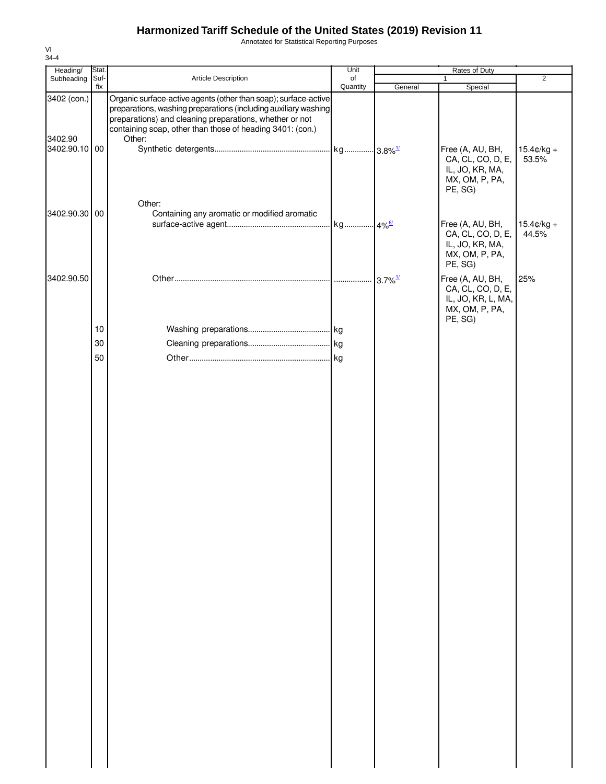Annotated for Statistical Reporting Purposes

| Heading/                 | Stat. |                                                                                                                                                                                                                                                            | Unit     |         |                                                                                                     |                               |
|--------------------------|-------|------------------------------------------------------------------------------------------------------------------------------------------------------------------------------------------------------------------------------------------------------------|----------|---------|-----------------------------------------------------------------------------------------------------|-------------------------------|
| Subheading               | Suf-  | Article Description                                                                                                                                                                                                                                        | of       |         |                                                                                                     | $\overline{2}$                |
| 3402 (con.)              | fix   | Organic surface-active agents (other than soap); surface-active<br>preparations, washing preparations (including auxiliary washing<br>preparations) and cleaning preparations, whether or not<br>containing soap, other than those of heading 3401: (con.) | Quantity | General | Special                                                                                             |                               |
| 3402.90<br>3402.90.10 00 |       | Other:                                                                                                                                                                                                                                                     |          |         | Free (A, AU, BH,<br>CA, CL, CO, D, E,<br>IL, JO, KR, MA,<br>MX, OM, P, PA,<br>PE, SG)               | $15.4 \text{c/kg} +$<br>53.5% |
| 3402.90.30 00            |       | Other:<br>Containing any aromatic or modified aromatic                                                                                                                                                                                                     |          |         | Free (A, AU, BH,<br>CA, CL, CO, D, E,<br>IL, JO, KR, MA,<br>MX, OM, P, PA,                          | $15.4$ ¢/kg +<br>44.5%        |
| 3402.90.50               |       |                                                                                                                                                                                                                                                            |          |         | PE, SG)<br>Free (A, AU, BH,<br>CA, CL, CO, D, E,<br>IL, JO, KR, L, MA,<br>MX, OM, P, PA,<br>PE, SG) | 25%                           |
|                          | $10$  |                                                                                                                                                                                                                                                            |          |         |                                                                                                     |                               |
|                          | 30    |                                                                                                                                                                                                                                                            |          |         |                                                                                                     |                               |
|                          | 50    |                                                                                                                                                                                                                                                            |          |         |                                                                                                     |                               |
|                          |       |                                                                                                                                                                                                                                                            |          |         |                                                                                                     |                               |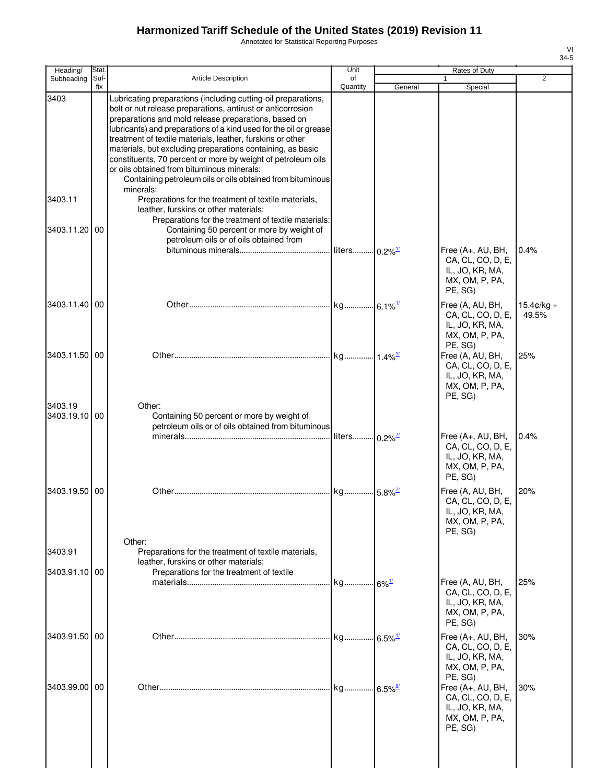Annotated for Statistical Reporting Purposes

| ۰,<br>۰, |  |
|----------|--|

| Heading/                 | Stat.       |                                                                                                                                                                                                                                                                                                                                                                                                                                                                                                                                                                                                                                        | Unit                       |         | <b>Rates of Duty</b>                                                                              |                       |
|--------------------------|-------------|----------------------------------------------------------------------------------------------------------------------------------------------------------------------------------------------------------------------------------------------------------------------------------------------------------------------------------------------------------------------------------------------------------------------------------------------------------------------------------------------------------------------------------------------------------------------------------------------------------------------------------------|----------------------------|---------|---------------------------------------------------------------------------------------------------|-----------------------|
| Subheading               | Suf-<br>fix | <b>Article Description</b>                                                                                                                                                                                                                                                                                                                                                                                                                                                                                                                                                                                                             | of<br>Quantity             | General | Special                                                                                           | $\overline{2}$        |
| 3403<br>3403.11          |             | Lubricating preparations (including cutting-oil preparations,<br>bolt or nut release preparations, antirust or anticorrosion<br>preparations and mold release preparations, based on<br>lubricants) and preparations of a kind used for the oil or grease<br>treatment of textile materials, leather, furskins or other<br>materials, but excluding preparations containing, as basic<br>constituents, 70 percent or more by weight of petroleum oils<br>or oils obtained from bituminous minerals:<br>Containing petroleum oils or oils obtained from bituminous<br>minerals:<br>Preparations for the treatment of textile materials, |                            |         |                                                                                                   |                       |
|                          |             | leather, furskins or other materials:<br>Preparations for the treatment of textile materials:                                                                                                                                                                                                                                                                                                                                                                                                                                                                                                                                          |                            |         |                                                                                                   |                       |
| 3403.11.20               | 00          | Containing 50 percent or more by weight of<br>petroleum oils or of oils obtained from                                                                                                                                                                                                                                                                                                                                                                                                                                                                                                                                                  |                            |         |                                                                                                   |                       |
|                          |             |                                                                                                                                                                                                                                                                                                                                                                                                                                                                                                                                                                                                                                        | liters 0.2% <sup>1/</sup>  |         | Free (A+, AU, BH,<br>CA, CL, CO, D, E,<br>IL, JO, KR, MA,<br>MX, OM, P, PA,<br>PE, SG)            | 0.4%                  |
| 3403.11.40               | 00          |                                                                                                                                                                                                                                                                                                                                                                                                                                                                                                                                                                                                                                        |                            |         | Free (A, AU, BH,<br>CA, CL, CO, D, E,<br>IL, JO, KR, MA,<br>MX, OM, P, PA,<br>PE, SG)             | $15.4c/kq +$<br>49.5% |
| 3403.11.50 00            |             |                                                                                                                                                                                                                                                                                                                                                                                                                                                                                                                                                                                                                                        |                            |         | Free (A, AU, BH,<br>CA, CL, CO, D, E,<br>IL, JO, KR, MA,<br>MX, OM, P, PA,<br>PE, SG)             | 25%                   |
| 3403.19<br>3403.19.10 00 |             | Other:<br>Containing 50 percent or more by weight of<br>petroleum oils or of oils obtained from bituminous                                                                                                                                                                                                                                                                                                                                                                                                                                                                                                                             | liters 0.2% <sup>7/1</sup> |         | Free (A+, AU, BH,                                                                                 | 0.4%                  |
|                          |             |                                                                                                                                                                                                                                                                                                                                                                                                                                                                                                                                                                                                                                        |                            |         | CA, CL, CO, D, E,<br>IL, JO, KR, MA,<br>MX, OM, P, PA,<br>PE, SG)                                 |                       |
| 3403.19.50               | 00          | Other:                                                                                                                                                                                                                                                                                                                                                                                                                                                                                                                                                                                                                                 | kg 5.8% <sup>7/1</sup>     |         | Free (A, AU, BH,<br>CA, CL, CO, D, E,<br>IL, JO, KR, MA,<br>MX, OM, P, PA,<br>PE, SG)             | 20%                   |
| 3403.91                  |             | Preparations for the treatment of textile materials,<br>leather, furskins or other materials:                                                                                                                                                                                                                                                                                                                                                                                                                                                                                                                                          |                            |         |                                                                                                   |                       |
| 3403.91.10 00            |             | Preparations for the treatment of textile                                                                                                                                                                                                                                                                                                                                                                                                                                                                                                                                                                                              | kg 6% <sup>1/</sup>        |         | Free (A, AU, BH,<br>CA, CL, CO, D, E,<br>IL, JO, KR, MA,<br>MX, OM, P, PA,<br>PE, SG)             | 25%                   |
| 3403.91.50 00            |             |                                                                                                                                                                                                                                                                                                                                                                                                                                                                                                                                                                                                                                        | kg 6.5% <sup>1/</sup>      |         | Free (A+, AU, BH,<br>CA, CL, CO, D, E,<br>IL, JO, KR, MA,<br>MX, OM, P, PA,                       | 30%                   |
| 3403.99.00 00            |             |                                                                                                                                                                                                                                                                                                                                                                                                                                                                                                                                                                                                                                        | kg 6.5%                    |         | PE, SG)<br>Free (A+, AU, BH,<br>CA, CL, CO, D, E,<br>IL, JO, KR, MA,<br>MX, OM, P, PA,<br>PE, SG) | 30%                   |
|                          |             |                                                                                                                                                                                                                                                                                                                                                                                                                                                                                                                                                                                                                                        |                            |         |                                                                                                   |                       |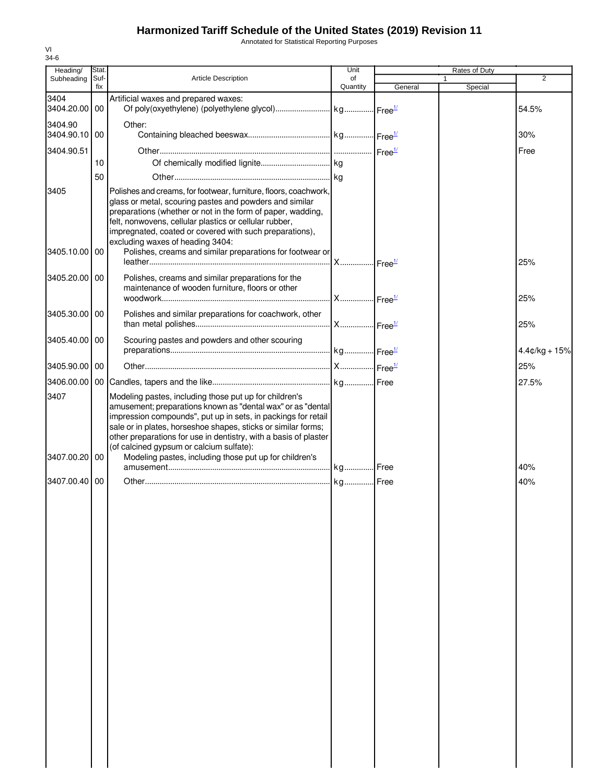Annotated for Statistical Reporting Purposes

| Heading/                 | Stat.       |                                                                                                                                                                                                                                                                                                                                                                                                                                   | Unit           |         | Rates of Duty |                 |
|--------------------------|-------------|-----------------------------------------------------------------------------------------------------------------------------------------------------------------------------------------------------------------------------------------------------------------------------------------------------------------------------------------------------------------------------------------------------------------------------------|----------------|---------|---------------|-----------------|
| Subheading               | Suf-<br>fix | <b>Article Description</b>                                                                                                                                                                                                                                                                                                                                                                                                        | of<br>Quantity | General | 1<br>Special  | 2               |
| 3404<br>3404.20.00 00    |             | Artificial waxes and prepared waxes:                                                                                                                                                                                                                                                                                                                                                                                              |                |         |               | 54.5%           |
| 3404.90<br>3404.90.10 00 |             | Other:                                                                                                                                                                                                                                                                                                                                                                                                                            |                |         |               | $30\%$          |
| 3404.90.51               |             |                                                                                                                                                                                                                                                                                                                                                                                                                                   |                |         |               | Free            |
|                          | 10          |                                                                                                                                                                                                                                                                                                                                                                                                                                   |                |         |               |                 |
|                          | 50          |                                                                                                                                                                                                                                                                                                                                                                                                                                   |                |         |               |                 |
| 3405                     |             | Polishes and creams, for footwear, furniture, floors, coachwork,<br>glass or metal, scouring pastes and powders and similar<br>preparations (whether or not in the form of paper, wadding,<br>felt, nonwovens, cellular plastics or cellular rubber,<br>impregnated, coated or covered with such preparations),<br>excluding waxes of heading 3404:                                                                               |                |         |               |                 |
| 3405.10.00 00            |             | Polishes, creams and similar preparations for footwear or                                                                                                                                                                                                                                                                                                                                                                         |                |         |               | 25%             |
| 3405.20.00 00            |             | Polishes, creams and similar preparations for the<br>maintenance of wooden furniture, floors or other                                                                                                                                                                                                                                                                                                                             |                |         |               | 25%             |
| 3405.30.00 00            |             | Polishes and similar preparations for coachwork, other                                                                                                                                                                                                                                                                                                                                                                            |                |         |               | 25%             |
| 3405.40.00 00            |             | Scouring pastes and powders and other scouring                                                                                                                                                                                                                                                                                                                                                                                    |                |         |               | $4.4¢/kg + 15%$ |
| 3405.90.00 00            |             |                                                                                                                                                                                                                                                                                                                                                                                                                                   |                |         |               | 25%             |
|                          |             |                                                                                                                                                                                                                                                                                                                                                                                                                                   |                |         |               | 27.5%           |
| 3407<br>3407.00.20       | 00          | Modeling pastes, including those put up for children's<br>amusement; preparations known as "dental wax" or as "dental<br>impression compounds", put up in sets, in packings for retail<br>sale or in plates, horseshoe shapes, sticks or similar forms;<br>other preparations for use in dentistry, with a basis of plaster<br>(of calcined gypsum or calcium sulfate):<br>Modeling pastes, including those put up for children's |                |         |               | 40%             |
| 3407.00.40 00            |             |                                                                                                                                                                                                                                                                                                                                                                                                                                   |                |         |               | 40%             |
|                          |             |                                                                                                                                                                                                                                                                                                                                                                                                                                   |                |         |               |                 |